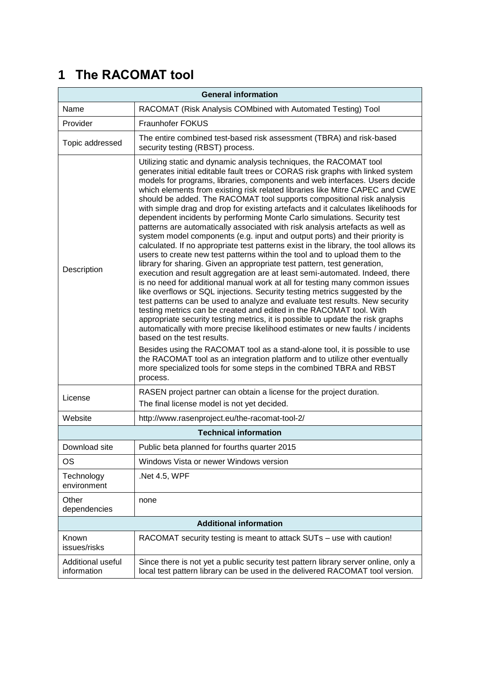# **1 The RACOMAT tool**

| <b>General information</b>       |                                                                                                                                                                                                                                                                                                                                                                                                                                                                                                                                                                                                                                                                                                                                                                                                                                                                                                                                                                                                                                                                                                                                                                                                                                                                                                                                                                                                                                                                                                                                                                                                                                                                                                                                                                                                                                            |
|----------------------------------|--------------------------------------------------------------------------------------------------------------------------------------------------------------------------------------------------------------------------------------------------------------------------------------------------------------------------------------------------------------------------------------------------------------------------------------------------------------------------------------------------------------------------------------------------------------------------------------------------------------------------------------------------------------------------------------------------------------------------------------------------------------------------------------------------------------------------------------------------------------------------------------------------------------------------------------------------------------------------------------------------------------------------------------------------------------------------------------------------------------------------------------------------------------------------------------------------------------------------------------------------------------------------------------------------------------------------------------------------------------------------------------------------------------------------------------------------------------------------------------------------------------------------------------------------------------------------------------------------------------------------------------------------------------------------------------------------------------------------------------------------------------------------------------------------------------------------------------------|
| Name                             | RACOMAT (Risk Analysis COMbined with Automated Testing) Tool                                                                                                                                                                                                                                                                                                                                                                                                                                                                                                                                                                                                                                                                                                                                                                                                                                                                                                                                                                                                                                                                                                                                                                                                                                                                                                                                                                                                                                                                                                                                                                                                                                                                                                                                                                               |
| Provider                         | Fraunhofer FOKUS                                                                                                                                                                                                                                                                                                                                                                                                                                                                                                                                                                                                                                                                                                                                                                                                                                                                                                                                                                                                                                                                                                                                                                                                                                                                                                                                                                                                                                                                                                                                                                                                                                                                                                                                                                                                                           |
| Topic addressed                  | The entire combined test-based risk assessment (TBRA) and risk-based<br>security testing (RBST) process.                                                                                                                                                                                                                                                                                                                                                                                                                                                                                                                                                                                                                                                                                                                                                                                                                                                                                                                                                                                                                                                                                                                                                                                                                                                                                                                                                                                                                                                                                                                                                                                                                                                                                                                                   |
| Description                      | Utilizing static and dynamic analysis techniques, the RACOMAT tool<br>generates initial editable fault trees or CORAS risk graphs with linked system<br>models for programs, libraries, components and web interfaces. Users decide<br>which elements from existing risk related libraries like Mitre CAPEC and CWE<br>should be added. The RACOMAT tool supports compositional risk analysis<br>with simple drag and drop for existing artefacts and it calculates likelihoods for<br>dependent incidents by performing Monte Carlo simulations. Security test<br>patterns are automatically associated with risk analysis artefacts as well as<br>system model components (e.g. input and output ports) and their priority is<br>calculated. If no appropriate test patterns exist in the library, the tool allows its<br>users to create new test patterns within the tool and to upload them to the<br>library for sharing. Given an appropriate test pattern, test generation,<br>execution and result aggregation are at least semi-automated. Indeed, there<br>is no need for additional manual work at all for testing many common issues<br>like overflows or SQL injections. Security testing metrics suggested by the<br>test patterns can be used to analyze and evaluate test results. New security<br>testing metrics can be created and edited in the RACOMAT tool. With<br>appropriate security testing metrics, it is possible to update the risk graphs<br>automatically with more precise likelihood estimates or new faults / incidents<br>based on the test results.<br>Besides using the RACOMAT tool as a stand-alone tool, it is possible to use<br>the RACOMAT tool as an integration platform and to utilize other eventually<br>more specialized tools for some steps in the combined TBRA and RBST<br>process. |
| License                          | RASEN project partner can obtain a license for the project duration.<br>The final license model is not yet decided.                                                                                                                                                                                                                                                                                                                                                                                                                                                                                                                                                                                                                                                                                                                                                                                                                                                                                                                                                                                                                                                                                                                                                                                                                                                                                                                                                                                                                                                                                                                                                                                                                                                                                                                        |
| Website                          | http://www.rasenproject.eu/the-racomat-tool-2/                                                                                                                                                                                                                                                                                                                                                                                                                                                                                                                                                                                                                                                                                                                                                                                                                                                                                                                                                                                                                                                                                                                                                                                                                                                                                                                                                                                                                                                                                                                                                                                                                                                                                                                                                                                             |
| <b>Technical information</b>     |                                                                                                                                                                                                                                                                                                                                                                                                                                                                                                                                                                                                                                                                                                                                                                                                                                                                                                                                                                                                                                                                                                                                                                                                                                                                                                                                                                                                                                                                                                                                                                                                                                                                                                                                                                                                                                            |
| Download site                    | Public beta planned for fourths quarter 2015                                                                                                                                                                                                                                                                                                                                                                                                                                                                                                                                                                                                                                                                                                                                                                                                                                                                                                                                                                                                                                                                                                                                                                                                                                                                                                                                                                                                                                                                                                                                                                                                                                                                                                                                                                                               |
| OS                               | Windows Vista or newer Windows version                                                                                                                                                                                                                                                                                                                                                                                                                                                                                                                                                                                                                                                                                                                                                                                                                                                                                                                                                                                                                                                                                                                                                                                                                                                                                                                                                                                                                                                                                                                                                                                                                                                                                                                                                                                                     |
| Technology<br>environment        | Net 4.5, WPF                                                                                                                                                                                                                                                                                                                                                                                                                                                                                                                                                                                                                                                                                                                                                                                                                                                                                                                                                                                                                                                                                                                                                                                                                                                                                                                                                                                                                                                                                                                                                                                                                                                                                                                                                                                                                               |
| Other<br>dependencies            | none                                                                                                                                                                                                                                                                                                                                                                                                                                                                                                                                                                                                                                                                                                                                                                                                                                                                                                                                                                                                                                                                                                                                                                                                                                                                                                                                                                                                                                                                                                                                                                                                                                                                                                                                                                                                                                       |
| <b>Additional information</b>    |                                                                                                                                                                                                                                                                                                                                                                                                                                                                                                                                                                                                                                                                                                                                                                                                                                                                                                                                                                                                                                                                                                                                                                                                                                                                                                                                                                                                                                                                                                                                                                                                                                                                                                                                                                                                                                            |
| Known<br>issues/risks            | RACOMAT security testing is meant to attack SUTs - use with caution!                                                                                                                                                                                                                                                                                                                                                                                                                                                                                                                                                                                                                                                                                                                                                                                                                                                                                                                                                                                                                                                                                                                                                                                                                                                                                                                                                                                                                                                                                                                                                                                                                                                                                                                                                                       |
| Additional useful<br>information | Since there is not yet a public security test pattern library server online, only a<br>local test pattern library can be used in the delivered RACOMAT tool version.                                                                                                                                                                                                                                                                                                                                                                                                                                                                                                                                                                                                                                                                                                                                                                                                                                                                                                                                                                                                                                                                                                                                                                                                                                                                                                                                                                                                                                                                                                                                                                                                                                                                       |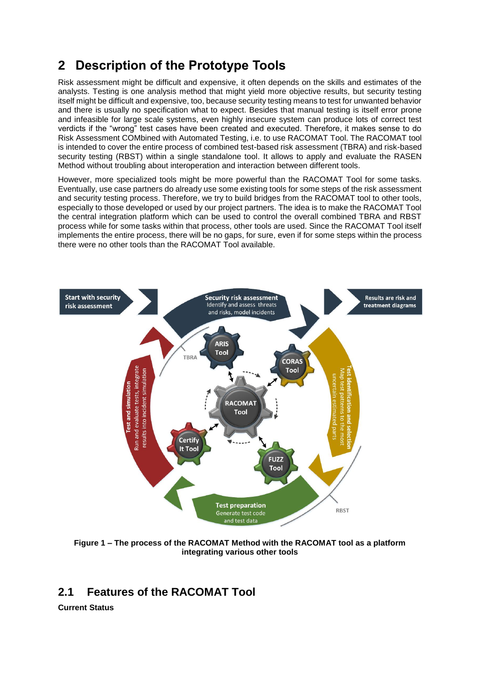## **2 Description of the Prototype Tools**

Risk assessment might be difficult and expensive, it often depends on the skills and estimates of the analysts. Testing is one analysis method that might yield more objective results, but security testing itself might be difficult and expensive, too, because security testing means to test for unwanted behavior and there is usually no specification what to expect. Besides that manual testing is itself error prone and infeasible for large scale systems, even highly insecure system can produce lots of correct test verdicts if the "wrong" test cases have been created and executed. Therefore, it makes sense to do Risk Assessment COMbined with Automated Testing, i.e. to use RACOMAT Tool. The RACOMAT tool is intended to cover the entire process of combined test-based risk assessment (TBRA) and risk-based security testing (RBST) within a single standalone tool. It allows to apply and evaluate the RASEN Method without troubling about interoperation and interaction between different tools.

However, more specialized tools might be more powerful than the RACOMAT Tool for some tasks. Eventually, use case partners do already use some existing tools for some steps of the risk assessment and security testing process. Therefore, we try to build bridges from the RACOMAT tool to other tools, especially to those developed or used by our project partners. The idea is to make the RACOMAT Tool the central integration platform which can be used to control the overall combined TBRA and RBST process while for some tasks within that process, other tools are used. Since the RACOMAT Tool itself implements the entire process, there will be no gaps, for sure, even if for some steps within the process there were no other tools than the RACOMAT Tool available.



**Figure 1 – The process of the RACOMAT Method with the RACOMAT tool as a platform integrating various other tools**

### **2.1 Features of the RACOMAT Tool**

**Current Status**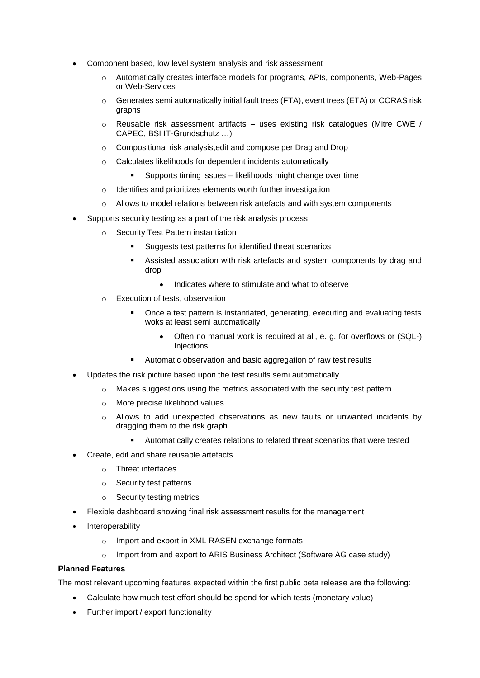- Component based, low level system analysis and risk assessment
	- o Automatically creates interface models for programs, APIs, components, Web-Pages or Web-Services
	- o Generates semi automatically initial fault trees (FTA), event trees (ETA) or CORAS risk graphs
	- $\circ$  Reusable risk assessment artifacts uses existing risk catalogues (Mitre CWE / CAPEC, BSI IT-Grundschutz …)
	- o Compositional risk analysis,edit and compose per Drag and Drop
	- o Calculates likelihoods for dependent incidents automatically
		- Supports timing issues likelihoods might change over time
	- o Identifies and prioritizes elements worth further investigation
	- $\circ$  Allows to model relations between risk artefacts and with system components
- Supports security testing as a part of the risk analysis process
	- **Security Test Pattern instantiation** 
		- Suggests test patterns for identified threat scenarios
		- Assisted association with risk artefacts and system components by drag and drop
			- Indicates where to stimulate and what to observe
	- o Execution of tests, observation
		- Once a test pattern is instantiated, generating, executing and evaluating tests woks at least semi automatically
			- Often no manual work is required at all, e. g. for overflows or (SQL-) **Injections**
		- Automatic observation and basic aggregation of raw test results
- Updates the risk picture based upon the test results semi automatically
	- o Makes suggestions using the metrics associated with the security test pattern
	- o More precise likelihood values
	- o Allows to add unexpected observations as new faults or unwanted incidents by dragging them to the risk graph
		- Automatically creates relations to related threat scenarios that were tested
- Create, edit and share reusable artefacts
	- o Threat interfaces
	- o Security test patterns
	- o Security testing metrics
- Flexible dashboard showing final risk assessment results for the management
- Interoperability
	- o Import and export in XML RASEN exchange formats
	- o Import from and export to ARIS Business Architect (Software AG case study)

#### **Planned Features**

The most relevant upcoming features expected within the first public beta release are the following:

- Calculate how much test effort should be spend for which tests (monetary value)
- Further import / export functionality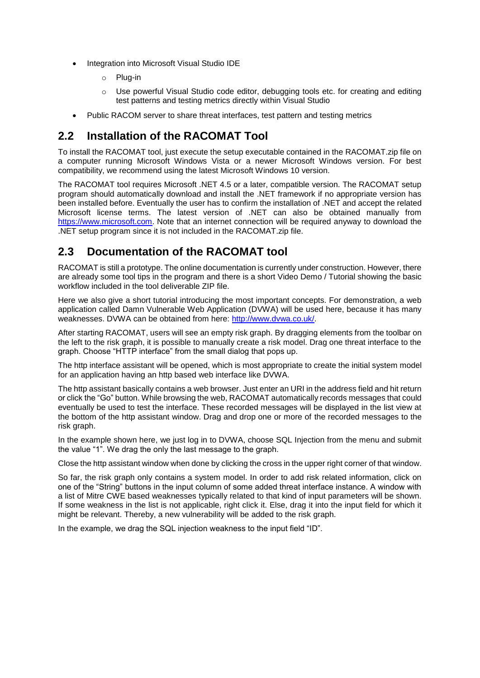- Integration into Microsoft Visual Studio IDE
	- o Plug-in
	- o Use powerful Visual Studio code editor, debugging tools etc. for creating and editing test patterns and testing metrics directly within Visual Studio
- Public RACOM server to share threat interfaces, test pattern and testing metrics

## **2.2 Installation of the RACOMAT Tool**

To install the RACOMAT tool, just execute the setup executable contained in the RACOMAT.zip file on a computer running Microsoft Windows Vista or a newer Microsoft Windows version. For best compatibility, we recommend using the latest Microsoft Windows 10 version.

The RACOMAT tool requires Microsoft .NET 4.5 or a later, compatible version. The RACOMAT setup program should automatically download and install the .NET framework if no appropriate version has been installed before. Eventually the user has to confirm the installation of .NET and accept the related Microsoft license terms. The latest version of .NET can also be obtained manually from [https://www.microsoft.com.](https://www.microsoft.com/) Note that an internet connection will be required anyway to download the .NET setup program since it is not included in the RACOMAT.zip file.

## **2.3 Documentation of the RACOMAT tool**

RACOMAT is still a prototype. The online documentation is currently under construction. However, there are already some tool tips in the program and there is a short Video Demo / Tutorial showing the basic workflow included in the tool deliverable ZIP file.

Here we also give a short tutorial introducing the most important concepts. For demonstration, a web application called Damn Vulnerable Web Application (DVWA) will be used here, because it has many weaknesses. DVWA can be obtained from here: [http://www.dvwa.co.uk/.](http://www.dvwa.co.uk/)

After starting RACOMAT, users will see an empty risk graph. By dragging elements from the toolbar on the left to the risk graph, it is possible to manually create a risk model. Drag one threat interface to the graph. Choose "HTTP interface" from the small dialog that pops up.

The http interface assistant will be opened, which is most appropriate to create the initial system model for an application having an http based web interface like DVWA.

The http assistant basically contains a web browser. Just enter an URI in the address field and hit return or click the "Go" button. While browsing the web, RACOMAT automatically records messages that could eventually be used to test the interface. These recorded messages will be displayed in the list view at the bottom of the http assistant window. Drag and drop one or more of the recorded messages to the risk graph.

In the example shown here, we just log in to DVWA, choose SQL Injection from the menu and submit the value "1". We drag the only the last message to the graph.

Close the http assistant window when done by clicking the cross in the upper right corner of that window.

So far, the risk graph only contains a system model. In order to add risk related information, click on one of the "String" buttons in the input column of some added threat interface instance. A window with a list of Mitre CWE based weaknesses typically related to that kind of input parameters will be shown. If some weakness in the list is not applicable, right click it. Else, drag it into the input field for which it might be relevant. Thereby, a new vulnerability will be added to the risk graph.

In the example, we drag the SQL injection weakness to the input field "ID".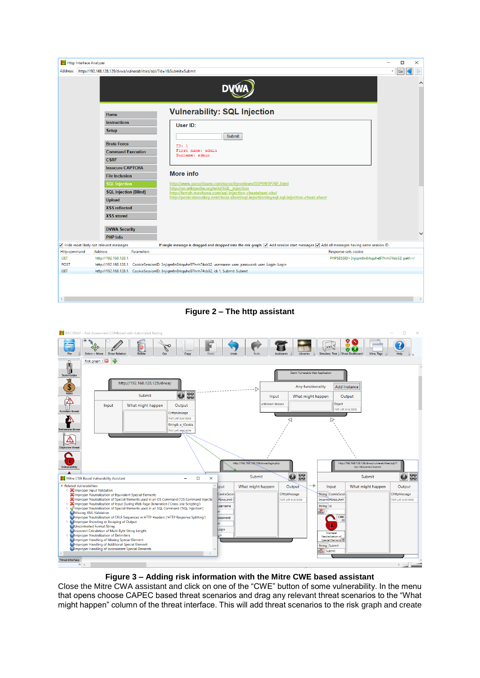





**Figure 3 – Adding risk information with the Mitre CWE based assistant**

Close the Mitre CWA assistant and click on one of the "CWE" button of some vulnerability. In the menu that opens choose CAPEC based threat scenarios and drag any relevant threat scenarios to the "What might happen" column of the threat interface. This will add threat scenarios to the risk graph and create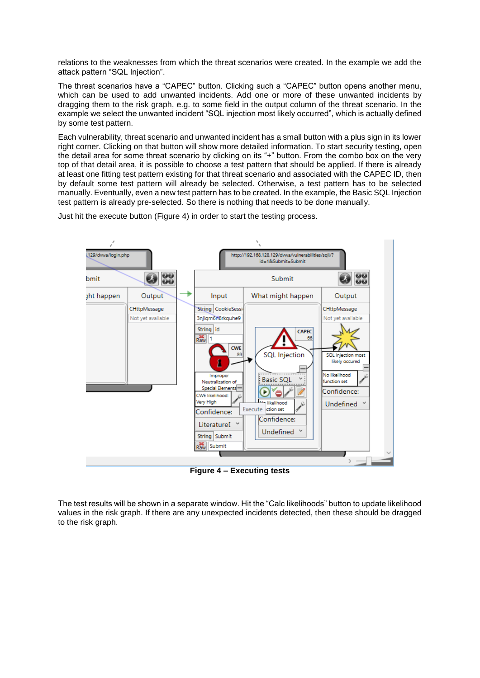relations to the weaknesses from which the threat scenarios were created. In the example we add the attack pattern "SQL Injection".

The threat scenarios have a "CAPEC" button. Clicking such a "CAPEC" button opens another menu, which can be used to add unwanted incidents. Add one or more of these unwanted incidents by dragging them to the risk graph, e.g. to some field in the output column of the threat scenario. In the example we select the unwanted incident "SQL injection most likely occurred", which is actually defined by some test pattern.

Each vulnerability, threat scenario and unwanted incident has a small button with a plus sign in its lower right corner. Clicking on that button will show more detailed information. To start security testing, open the detail area for some threat scenario by clicking on its "+" button. From the combo box on the very top of that detail area, it is possible to choose a test pattern that should be applied. If there is already at least one fitting test pattern existing for that threat scenario and associated with the CAPEC ID, then by default some test pattern will already be selected. Otherwise, a test pattern has to be selected manually. Eventually, even a new test pattern has to be created. In the example, the Basic SQL Injection test pattern is already pre-selected. So there is nothing that needs to be done manually.

129/dvwa/login.php http://192.168.128.129/dvwa/vulnerabilities/sqli/ id=18(Submit=Submit  $\frac{60}{60}$ 98<br>00 Submit bmit ٠ aht happen Output Input What might happen Output CHttpMessage String CookieSessi CHttpMessage 3njiqm6n8rkquhe9 Not yet available Not vet available String id **CAPEC**  $R_{\rm{aw}}$ h 66 **CWE SQL** Injection SQL injection most 89 likely occured No likelihood Improper **Basic SQL** Neutralization of function set Special Elements Confidence:  $\bullet$ ۵ **CWE** likelihood Very High likelihood Undefined \ Execute ction set Confidence: Confidence: Literaturel **Undefined** String Submit Raw Submit

Just hit the execute button [\(Figure 4\)](#page-5-0) in order to start the testing process.

**Figure 4 – Executing tests**

<span id="page-5-0"></span>The test results will be shown in a separate window. Hit the "Calc likelihoods" button to update likelihood values in the risk graph. If there are any unexpected incidents detected, then these should be dragged to the risk graph.